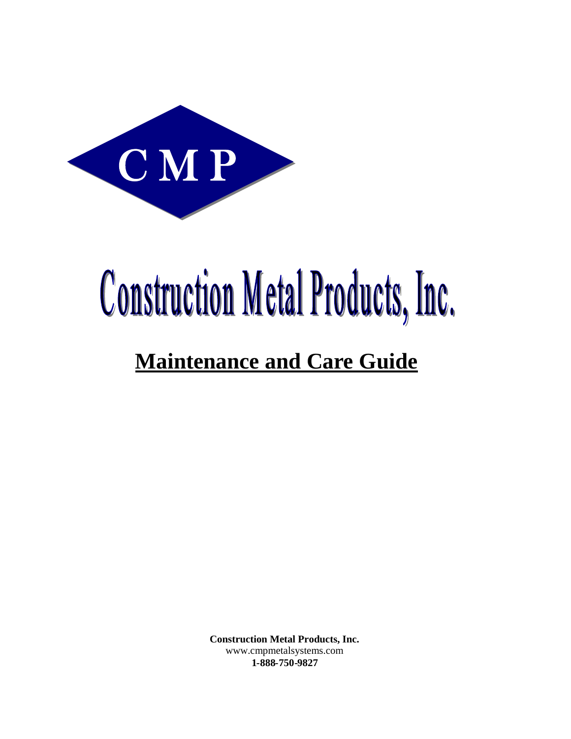

# **Construction Metal Products, Inc.**

# **Maintenance and Care Guide**

**Construction Metal Products, Inc.** www.cmpmetalsystems.com **1-888-750-9827**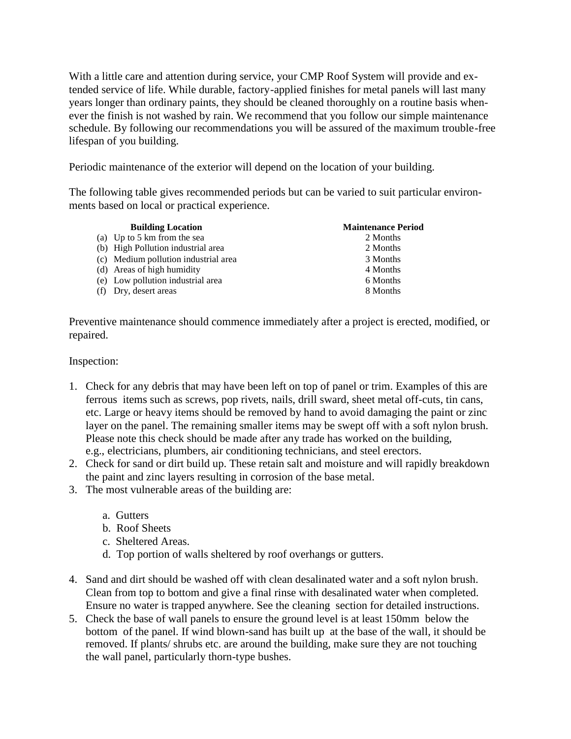With a little care and attention during service, your CMP Roof System will provide and extended service of life. While durable, factory-applied finishes for metal panels will last many years longer than ordinary paints, they should be cleaned thoroughly on a routine basis whenever the finish is not washed by rain. We recommend that you follow our simple maintenance schedule. By following our recommendations you will be assured of the maximum trouble-free lifespan of you building.

Periodic maintenance of the exterior will depend on the location of your building.

The following table gives recommended periods but can be varied to suit particular environments based on local or practical experience.

| <b>Building Location</b>             | <b>Maintenance Period</b> |
|--------------------------------------|---------------------------|
| (a) Up to 5 km from the sea          | 2 Months                  |
| (b) High Pollution industrial area   | 2 Months                  |
| (c) Medium pollution industrial area | 3 Months                  |
| (d) Areas of high humidity           | 4 Months                  |
| (e) Low pollution industrial area    | 6 Months                  |
| (f) Dry, desert areas                | 8 Months                  |
|                                      |                           |

Preventive maintenance should commence immediately after a project is erected, modified, or repaired.

#### Inspection:

- 1. Check for any debris that may have been left on top of panel or trim. Examples of this are ferrous items such as screws, pop rivets, nails, drill sward, sheet metal off-cuts, tin cans, etc. Large or heavy items should be removed by hand to avoid damaging the paint or zinc layer on the panel. The remaining smaller items may be swept off with a soft nylon brush. Please note this check should be made after any trade has worked on the building, e.g., electricians, plumbers, air conditioning technicians, and steel erectors.
- 2. Check for sand or dirt build up. These retain salt and moisture and will rapidly breakdown the paint and zinc layers resulting in corrosion of the base metal.
- 3. The most vulnerable areas of the building are:
	- a. Gutters
	- b. Roof Sheets
	- c. Sheltered Areas.
	- d. Top portion of walls sheltered by roof overhangs or gutters.
- 4. Sand and dirt should be washed off with clean desalinated water and a soft nylon brush. Clean from top to bottom and give a final rinse with desalinated water when completed. Ensure no water is trapped anywhere. See the cleaning section for detailed instructions.
- 5. Check the base of wall panels to ensure the ground level is at least 150mm below the bottom of the panel. If wind blown-sand has built up at the base of the wall, it should be removed. If plants/ shrubs etc. are around the building, make sure they are not touching the wall panel, particularly thorn-type bushes.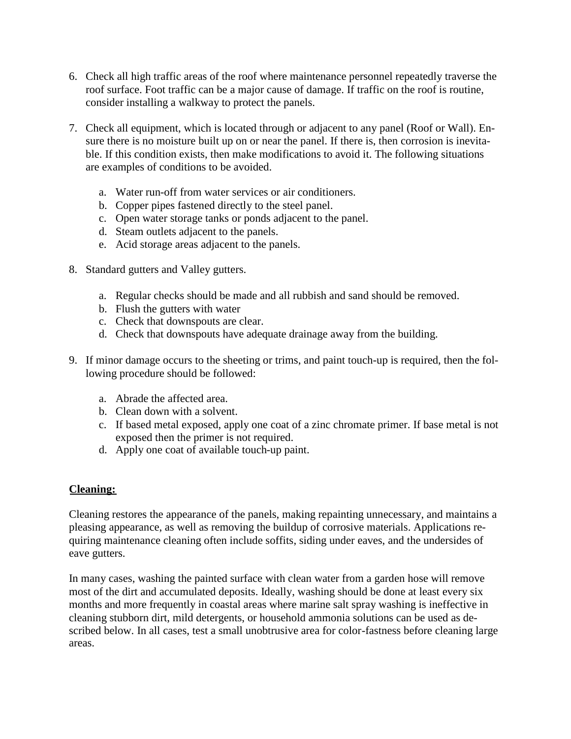- 6. Check all high traffic areas of the roof where maintenance personnel repeatedly traverse the roof surface. Foot traffic can be a major cause of damage. If traffic on the roof is routine, consider installing a walkway to protect the panels.
- 7. Check all equipment, which is located through or adjacent to any panel (Roof or Wall). Ensure there is no moisture built up on or near the panel. If there is, then corrosion is inevitable. If this condition exists, then make modifications to avoid it. The following situations are examples of conditions to be avoided.
	- a. Water run-off from water services or air conditioners.
	- b. Copper pipes fastened directly to the steel panel.
	- c. Open water storage tanks or ponds adjacent to the panel.
	- d. Steam outlets adjacent to the panels.
	- e. Acid storage areas adjacent to the panels.
- 8. Standard gutters and Valley gutters.
	- a. Regular checks should be made and all rubbish and sand should be removed.
	- b. Flush the gutters with water
	- c. Check that downspouts are clear.
	- d. Check that downspouts have adequate drainage away from the building.
- 9. If minor damage occurs to the sheeting or trims, and paint touch-up is required, then the following procedure should be followed:
	- a. Abrade the affected area.
	- b. Clean down with a solvent.
	- c. If based metal exposed, apply one coat of a zinc chromate primer. If base metal is not exposed then the primer is not required.
	- d. Apply one coat of available touch-up paint.

# **Cleaning:**

Cleaning restores the appearance of the panels, making repainting unnecessary, and maintains a pleasing appearance, as well as removing the buildup of corrosive materials. Applications requiring maintenance cleaning often include soffits, siding under eaves, and the undersides of eave gutters.

In many cases, washing the painted surface with clean water from a garden hose will remove most of the dirt and accumulated deposits. Ideally, washing should be done at least every six months and more frequently in coastal areas where marine salt spray washing is ineffective in cleaning stubborn dirt, mild detergents, or household ammonia solutions can be used as described below. In all cases, test a small unobtrusive area for color-fastness before cleaning large areas.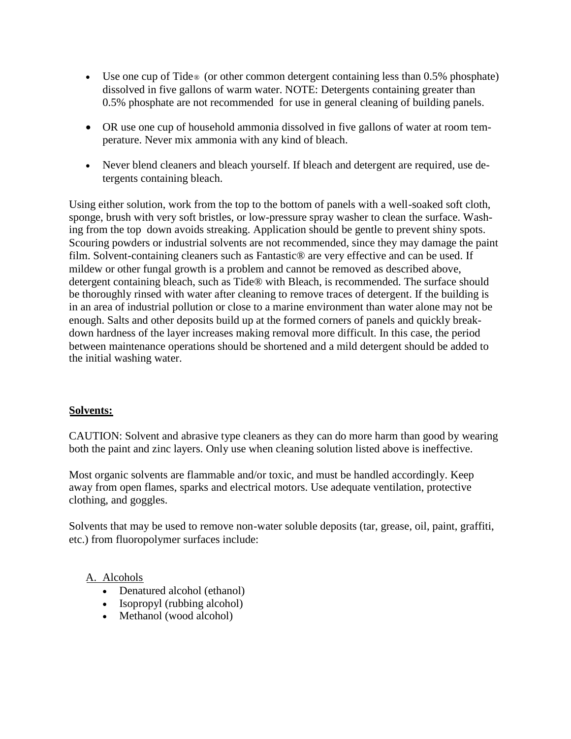- Use one cup of Tide® (or other common detergent containing less than 0.5% phosphate) dissolved in five gallons of warm water. NOTE: Detergents containing greater than 0.5% phosphate are not recommended for use in general cleaning of building panels.
- OR use one cup of household ammonia dissolved in five gallons of water at room temperature. Never mix ammonia with any kind of bleach.
- Never blend cleaners and bleach yourself. If bleach and detergent are required, use detergents containing bleach.

Using either solution, work from the top to the bottom of panels with a well-soaked soft cloth, sponge, brush with very soft bristles, or low-pressure spray washer to clean the surface. Washing from the top down avoids streaking. Application should be gentle to prevent shiny spots. Scouring powders or industrial solvents are not recommended, since they may damage the paint film. Solvent-containing cleaners such as Fantastic® are very effective and can be used. If mildew or other fungal growth is a problem and cannot be removed as described above, detergent containing bleach, such as Tide® with Bleach, is recommended. The surface should be thoroughly rinsed with water after cleaning to remove traces of detergent. If the building is in an area of industrial pollution or close to a marine environment than water alone may not be enough. Salts and other deposits build up at the formed corners of panels and quickly breakdown hardness of the layer increases making removal more difficult. In this case, the period between maintenance operations should be shortened and a mild detergent should be added to the initial washing water.

#### **Solvents:**

CAUTION: Solvent and abrasive type cleaners as they can do more harm than good by wearing both the paint and zinc layers. Only use when cleaning solution listed above is ineffective.

Most organic solvents are flammable and/or toxic, and must be handled accordingly. Keep away from open flames, sparks and electrical motors. Use adequate ventilation, protective clothing, and goggles.

Solvents that may be used to remove non-water soluble deposits (tar, grease, oil, paint, graffiti, etc.) from fluoropolymer surfaces include:

#### A. Alcohols

- Denatured alcohol (ethanol)
- Isopropyl (rubbing alcohol)
- Methanol (wood alcohol)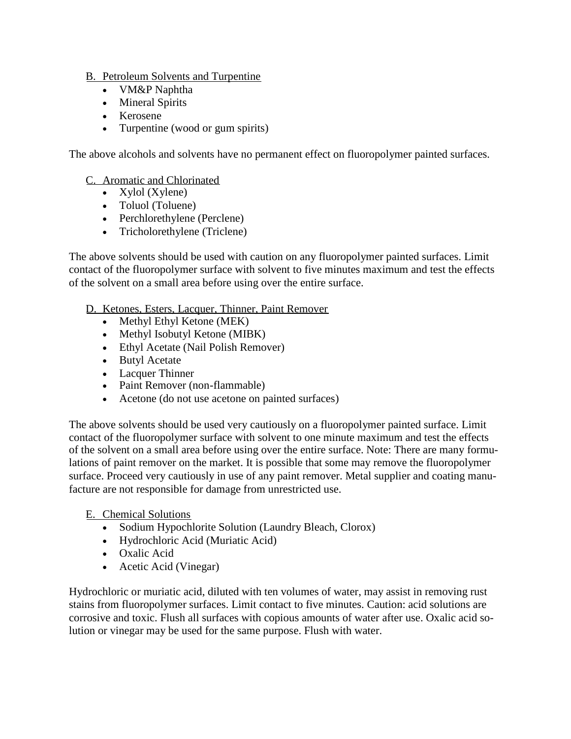# B. Petroleum Solvents and Turpentine

- VM&P Naphtha
- Mineral Spirits
- Kerosene
- Turpentine (wood or gum spirits)

The above alcohols and solvents have no permanent effect on fluoropolymer painted surfaces.

#### C. Aromatic and Chlorinated

- Xylol (Xylene)
- Toluol (Toluene)
- Perchlorethylene (Perclene)
- Tricholorethylene (Triclene)

The above solvents should be used with caution on any fluoropolymer painted surfaces. Limit contact of the fluoropolymer surface with solvent to five minutes maximum and test the effects of the solvent on a small area before using over the entire surface.

D. Ketones, Esters, Lacquer, Thinner, Paint Remover

- Methyl Ethyl Ketone (MEK)
- Methyl Isobutyl Ketone (MIBK)
- Ethyl Acetate (Nail Polish Remover)
- Butyl Acetate
- Lacquer Thinner
- Paint Remover (non-flammable)
- Acetone (do not use acetone on painted surfaces)

The above solvents should be used very cautiously on a fluoropolymer painted surface. Limit contact of the fluoropolymer surface with solvent to one minute maximum and test the effects of the solvent on a small area before using over the entire surface. Note: There are many formulations of paint remover on the market. It is possible that some may remove the fluoropolymer surface. Proceed very cautiously in use of any paint remover. Metal supplier and coating manufacture are not responsible for damage from unrestricted use.

#### E. Chemical Solutions

- Sodium Hypochlorite Solution (Laundry Bleach, Clorox)
- Hydrochloric Acid (Muriatic Acid)
- Oxalic Acid
- Acetic Acid (Vinegar)

Hydrochloric or muriatic acid, diluted with ten volumes of water, may assist in removing rust stains from fluoropolymer surfaces. Limit contact to five minutes. Caution: acid solutions are corrosive and toxic. Flush all surfaces with copious amounts of water after use. Oxalic acid solution or vinegar may be used for the same purpose. Flush with water.